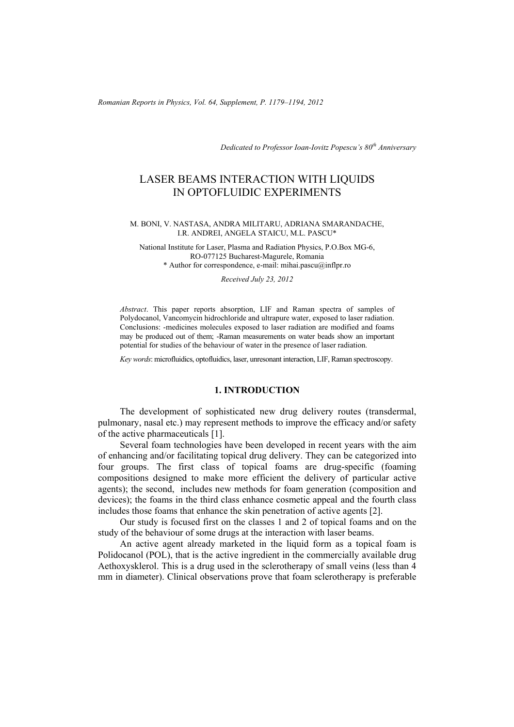*Romanian Reports in Physics, Vol. 64, Supplement, P. 1179–1194, 2012*

*Dedicated to Professor Ioan-Iovitz Popescu's 80th Anniversary*

# LASER BEAMS INTERACTION WITH LIQUIDS IN OPTOFLUIDIC EXPERIMENTS

#### M. BONI, V. NASTASA, ANDRA MILITARU, ADRIANA SMARANDACHE, I.R. ANDREI, ANGELA STAICU, M.L. PASCU\*

National Institute for Laser, Plasma and Radiation Physics, P.O.Box MG-6, RO-077125 Bucharest-Magurele, Romania \* Author for correspondence, e-mail: mihai.pascu@inflpr.ro

*Received July 23, 2012* 

*Abstract*. This paper reports absorption, LIF and Raman spectra of samples of Polydocanol, Vancomycin hidrochloride and ultrapure water, exposed to laser radiation. Conclusions: -medicines molecules exposed to laser radiation are modified and foams may be produced out of them; -Raman measurements on water beads show an important potential for studies of the behaviour of water in the presence of laser radiation.

*Key words*: microfluidics, optofluidics, laser, unresonant interaction, LIF, Raman spectroscopy.

## **1. INTRODUCTION**

 The development of sophisticated new drug delivery routes (transdermal, pulmonary, nasal etc.) may represent methods to improve the efficacy and/or safety of the active pharmaceuticals [1].

 Several foam technologies have been developed in recent years with the aim of enhancing and/or facilitating topical drug delivery. They can be categorized into four groups. The first class of topical foams are drug-specific (foaming compositions designed to make more efficient the delivery of particular active agents); the second, includes new methods for foam generation (composition and devices); the foams in the third class enhance cosmetic appeal and the fourth class includes those foams that enhance the skin penetration of active agents [2].

 Our study is focused first on the classes 1 and 2 of topical foams and on the study of the behaviour of some drugs at the interaction with laser beams.

 An active agent already marketed in the liquid form as a topical foam is Polidocanol (POL), that is the active ingredient in the commercially available drug Aethoxysklerol. This is a drug used in the sclerotherapy of small veins (less than 4 mm in diameter). Clinical observations prove that foam sclerotherapy is preferable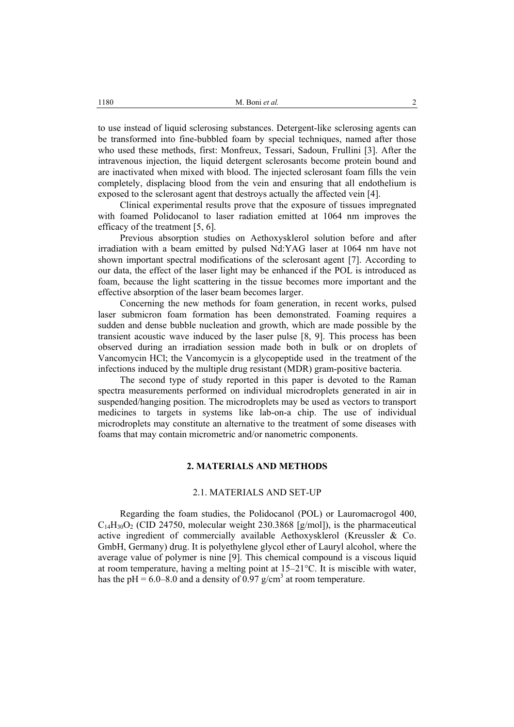to use instead of liquid sclerosing substances. Detergent-like sclerosing agents can be transformed into fine-bubbled foam by special techniques, named after those who used these methods, first: Monfreux, Tessari, Sadoun, Frullini [3]. After the intravenous injection, the liquid detergent sclerosants become protein bound and are inactivated when mixed with blood. The injected sclerosant foam fills the vein completely, displacing blood from the vein and ensuring that all endothelium is exposed to the sclerosant agent that destroys actually the affected vein [4].

 Clinical experimental results prove that the exposure of tissues impregnated with foamed Polidocanol to laser radiation emitted at 1064 nm improves the efficacy of the treatment [5, 6].

Previous absorption studies on Aethoxysklerol solution before and after irradiation with a beam emitted by pulsed Nd:YAG laser at 1064 nm have not shown important spectral modifications of the sclerosant agent [7]. According to our data, the effect of the laser light may be enhanced if the POL is introduced as foam, because the light scattering in the tissue becomes more important and the effective absorption of the laser beam becomes larger.

 Concerning the new methods for foam generation, in recent works, pulsed laser submicron foam formation has been demonstrated. Foaming requires a sudden and dense bubble nucleation and growth, which are made possible by the transient acoustic wave induced by the laser pulse [8, 9]. This process has been observed during an irradiation session made both in bulk or on droplets of Vancomycin HCl; the Vancomycin is a glycopeptide used in the treatment of the infections induced by the multiple drug resistant (MDR) gram-positive bacteria.

 The second type of study reported in this paper is devoted to the Raman spectra measurements performed on individual microdroplets generated in air in suspended/hanging position. The microdroplets may be used as vectors to transport medicines to targets in systems like lab-on-a chip. The use of individual microdroplets may constitute an alternative to the treatment of some diseases with foams that may contain micrometric and/or nanometric components.

# **2. MATERIALS AND METHODS**

#### 2.1. MATERIALS AND SET-UP

Regarding the foam studies, the Polidocanol (POL) or Lauromacrogol 400,  $C_{14}H_{30}O_2$  (CID 24750, molecular weight 230.3868 [g/mol]), is the pharmaceutical active ingredient of commercially available Aethoxysklerol (Kreussler & Co. GmbH, Germany) drug. It is polyethylene glycol ether of Lauryl alcohol, where the average value of polymer is nine [9]. This chemical compound is a viscous liquid at room temperature, having a melting point at 15–21°C. It is miscible with water, has the pH = 6.0–8.0 and a density of 0.97 g/cm<sup>3</sup> at room temperature.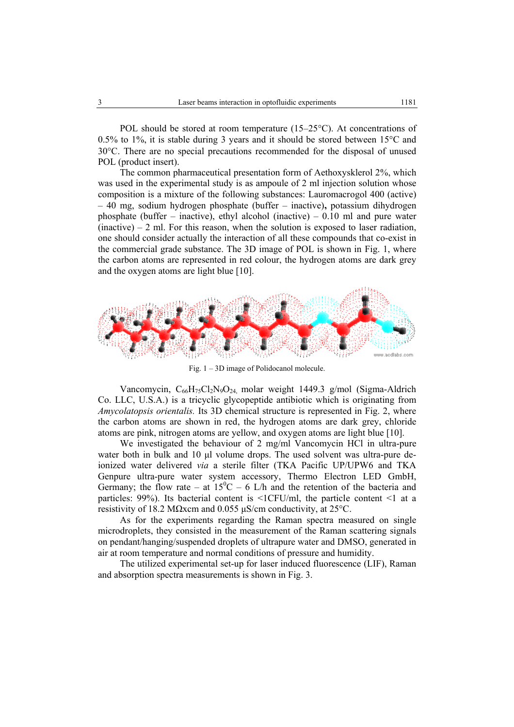POL should be stored at room temperature (15–25°C). At concentrations of 0.5% to 1%, it is stable during 3 years and it should be stored between 15°C and 30°C. There are no special precautions recommended for the disposal of unused POL (product insert).

The common pharmaceutical presentation form of Aethoxysklerol 2%, which was used in the experimental study is as ampoule of 2 ml injection solution whose composition is a mixture of the following substances: Lauromacrogol 400 (active) – 40 mg, sodium hydrogen phosphate (buffer – inactive)**,** potassium dihydrogen phosphate (buffer – inactive), ethyl alcohol (inactive) – 0.10 ml and pure water  $(inactive) - 2$  ml. For this reason, when the solution is exposed to laser radiation, one should consider actually the interaction of all these compounds that co-exist in the commercial grade substance. The 3D image of POL is shown in Fig. 1, where the carbon atoms are represented in red colour, the hydrogen atoms are dark grey and the oxygen atoms are light blue [10].



Fig. 1 – 3D image of Polidocanol molecule.

Vancomycin, C<sub>66</sub>H<sub>75</sub>Cl<sub>2</sub>N<sub>9</sub>O<sub>24</sub> molar weight 1449.3 g/mol (Sigma-Aldrich Co. LLC, U.S.A.) is a tricyclic glycopeptide antibiotic which is originating from *Amycolatopsis orientalis.* Its 3D chemical structure is represented in Fig. 2, where the carbon atoms are shown in red, the hydrogen atoms are dark grey, chloride atoms are pink, nitrogen atoms are yellow, and oxygen atoms are light blue [10].

We investigated the behaviour of 2 mg/ml Vancomycin HCl in ultra-pure water both in bulk and 10 µl volume drops. The used solvent was ultra-pure deionized water delivered *via* a sterile filter (TKA Pacific UP/UPW6 and TKA Genpure ultra-pure water system accessory, Thermo Electron LED GmbH, Germany; the flow rate – at  $15^{\circ}$ C – 6 L/h and the retention of the bacteria and particles: 99%). Its bacterial content is <1CFU/ml, the particle content <1 at a resistivity of 18.2 MΩxcm and 0.055 µS/cm conductivity, at 25°C.

 As for the experiments regarding the Raman spectra measured on single microdroplets, they consisted in the measurement of the Raman scattering signals on pendant/hanging/suspended droplets of ultrapure water and DMSO, generated in air at room temperature and normal conditions of pressure and humidity.

The utilized experimental set-up for laser induced fluorescence (LIF), Raman and absorption spectra measurements is shown in Fig. 3.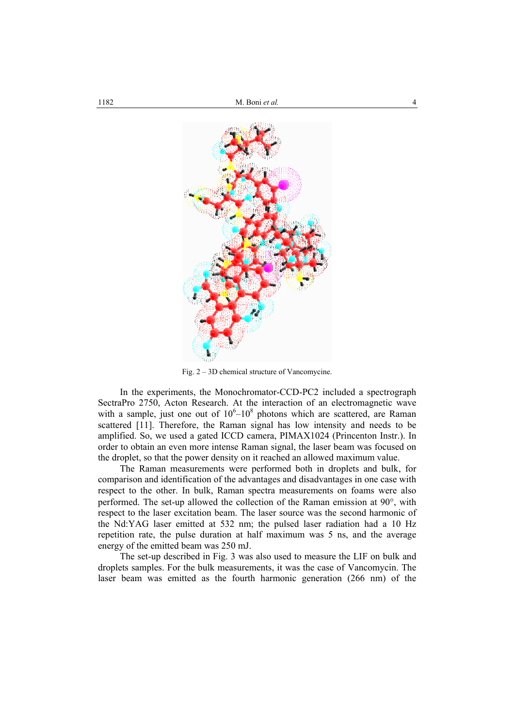

Fig. 2 – 3D chemical structure of Vancomycine.

In the experiments, the Monochromator-CCD-PC2 included a spectrograph SectraPro 2750, Acton Research. At the interaction of an electromagnetic wave with a sample, just one out of  $10^6 - 10^8$  photons which are scattered, are Raman scattered [11]. Therefore, the Raman signal has low intensity and needs to be amplified. So, we used a gated ICCD camera, PIMAX1024 (Princenton Instr.). In order to obtain an even more intense Raman signal, the laser beam was focused on the droplet, so that the power density on it reached an allowed maximum value.

The Raman measurements were performed both in droplets and bulk, for comparison and identification of the advantages and disadvantages in one case with respect to the other. In bulk, Raman spectra measurements on foams were also performed. The set-up allowed the collection of the Raman emission at 90°, with respect to the laser excitation beam. The laser source was the second harmonic of the Nd:YAG laser emitted at 532 nm; the pulsed laser radiation had a 10 Hz repetition rate, the pulse duration at half maximum was 5 ns, and the average energy of the emitted beam was 250 mJ.

 The set-up described in Fig. 3 was also used to measure the LIF on bulk and droplets samples. For the bulk measurements, it was the case of Vancomycin. The laser beam was emitted as the fourth harmonic generation (266 nm) of the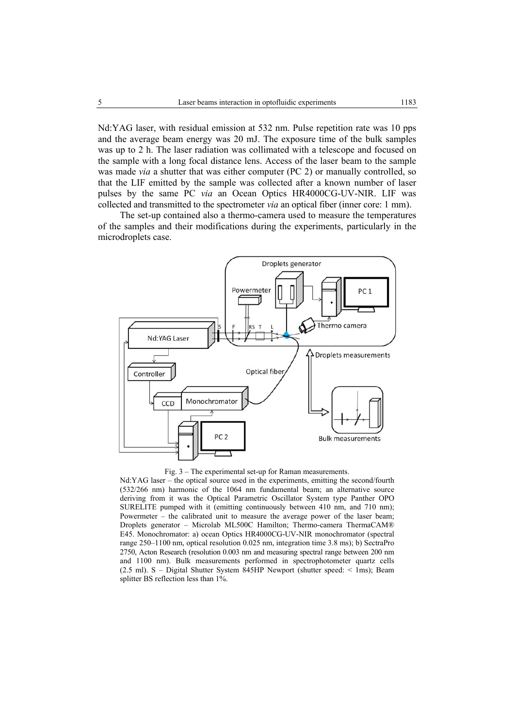Nd:YAG laser, with residual emission at 532 nm. Pulse repetition rate was 10 pps and the average beam energy was 20 mJ. The exposure time of the bulk samples was up to 2 h. The laser radiation was collimated with a telescope and focused on the sample with a long focal distance lens. Access of the laser beam to the sample was made *via* a shutter that was either computer (PC 2) or manually controlled, so that the LIF emitted by the sample was collected after a known number of laser pulses by the same PC *via* an Ocean Optics HR4000CG-UV-NIR. LIF was collected and transmitted to the spectrometer *via* an optical fiber (inner core: 1 mm).

The set-up contained also a thermo-camera used to measure the temperatures of the samples and their modifications during the experiments, particularly in the microdroplets case.



Fig. 3 – The experimental set-up for Raman measurements.

Nd:YAG laser – the optical source used in the experiments, emitting the second/fourth (532/266 nm) harmonic of the 1064 nm fundamental beam; an alternative source deriving from it was the Optical Parametric Oscillator System type Panther OPO SURELITE pumped with it (emitting continuously between 410 nm, and 710 nm); Powermeter – the calibrated unit to measure the average power of the laser beam: Droplets generator – Microlab ML500C Hamilton; Thermo-camera ThermaCAM® E45. Monochromator: a) ocean Optics HR4000CG-UV-NIR monochromator (spectral range 250–1100 nm, optical resolution 0.025 nm, integration time 3.8 ms); b) SectraPro 2750, Acton Research (resolution 0.003 nm and measuring spectral range between 200 nm and 1100 nm). Bulk measurements performed in spectrophotometer quartz cells (2.5 ml). S – Digital Shutter System 845HP Newport (shutter speed: < 1ms); Beam splitter BS reflection less than 1%.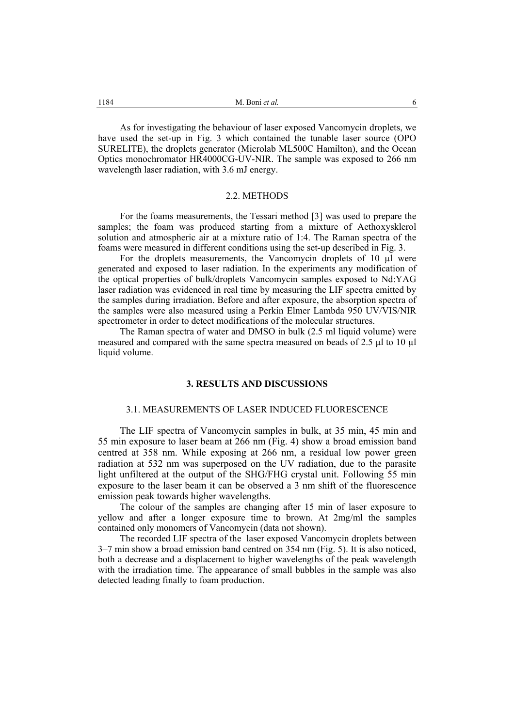As for investigating the behaviour of laser exposed Vancomycin droplets, we have used the set-up in Fig. 3 which contained the tunable laser source (OPO SURELITE), the droplets generator (Microlab ML500C Hamilton), and the Ocean Optics monochromator HR4000CG-UV-NIR. The sample was exposed to 266 nm wavelength laser radiation, with 3.6 mJ energy.

#### 2.2. METHODS

For the foams measurements, the Tessari method [3] was used to prepare the samples; the foam was produced starting from a mixture of Aethoxysklerol solution and atmospheric air at a mixture ratio of 1:4. The Raman spectra of the foams were measured in different conditions using the set-up described in Fig. 3.

For the droplets measurements, the Vancomycin droplets of 10 µl were generated and exposed to laser radiation. In the experiments any modification of the optical properties of bulk/droplets Vancomycin samples exposed to Nd:YAG laser radiation was evidenced in real time by measuring the LIF spectra emitted by the samples during irradiation. Before and after exposure, the absorption spectra of the samples were also measured using a Perkin Elmer Lambda 950 UV/VIS/NIR spectrometer in order to detect modifications of the molecular structures.

The Raman spectra of water and DMSO in bulk (2.5 ml liquid volume) were measured and compared with the same spectra measured on beads of 2.5 µl to 10 µl liquid volume.

# **3. RESULTS AND DISCUSSIONS**

#### 3.1. MEASUREMENTS OF LASER INDUCED FLUORESCENCE

The LIF spectra of Vancomycin samples in bulk, at 35 min, 45 min and 55 min exposure to laser beam at 266 nm (Fig. 4) show a broad emission band centred at 358 nm. While exposing at 266 nm, a residual low power green radiation at 532 nm was superposed on the UV radiation, due to the parasite light unfiltered at the output of the SHG/FHG crystal unit. Following 55 min exposure to the laser beam it can be observed a 3 nm shift of the fluorescence emission peak towards higher wavelengths.

The colour of the samples are changing after 15 min of laser exposure to yellow and after a longer exposure time to brown. At 2mg/ml the samples contained only monomers of Vancomycin (data not shown).

The recorded LIF spectra of the laser exposed Vancomycin droplets between 3–7 min show a broad emission band centred on 354 nm (Fig. 5). It is also noticed, both a decrease and a displacement to higher wavelengths of the peak wavelength with the irradiation time. The appearance of small bubbles in the sample was also detected leading finally to foam production.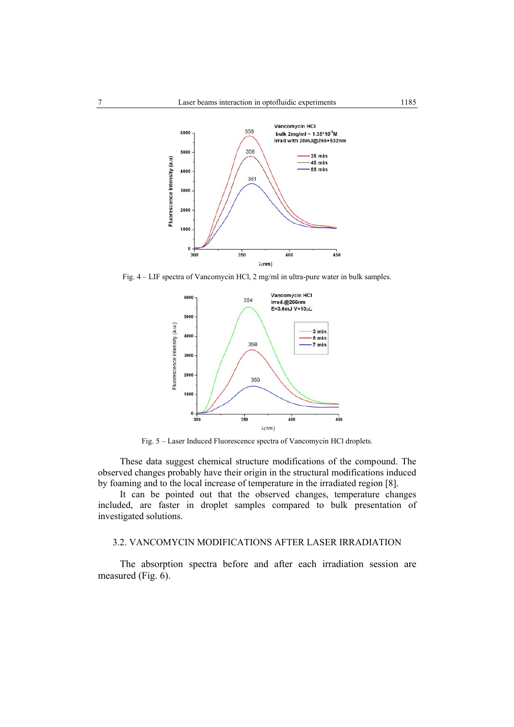

Fig. 4 – LIF spectra of Vancomycin HCl, 2 mg/ml in ultra-pure water in bulk samples.



Fig. 5 – Laser Induced Fluorescence spectra of Vancomycin HCl droplets.

These data suggest chemical structure modifications of the compound. The observed changes probably have their origin in the structural modifications induced by foaming and to the local increase of temperature in the irradiated region [8].

It can be pointed out that the observed changes, temperature changes included, are faster in droplet samples compared to bulk presentation of investigated solutions.

# 3.2. VANCOMYCIN MODIFICATIONS AFTER LASER IRRADIATION

 The absorption spectra before and after each irradiation session are measured (Fig. 6).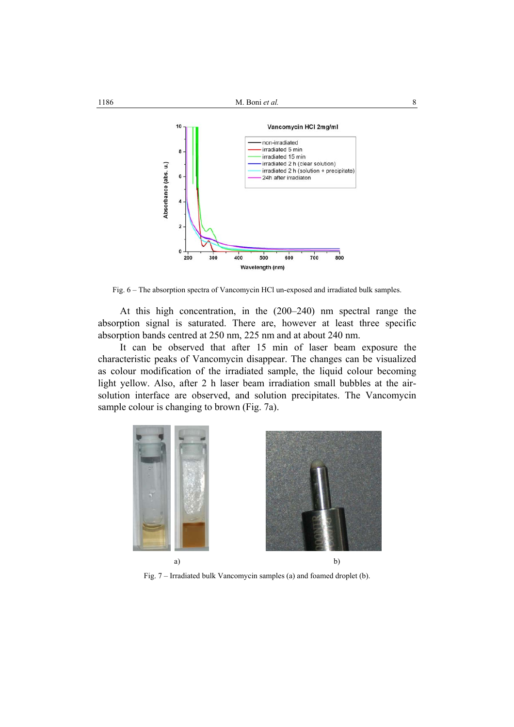



Fig. 6 – The absorption spectra of Vancomycin HCl un-exposed and irradiated bulk samples.

At this high concentration, in the (200–240) nm spectral range the absorption signal is saturated. There are, however at least three specific absorption bands centred at 250 nm, 225 nm and at about 240 nm.

 It can be observed that after 15 min of laser beam exposure the characteristic peaks of Vancomycin disappear. The changes can be visualized as colour modification of the irradiated sample, the liquid colour becoming light yellow. Also, after 2 h laser beam irradiation small bubbles at the airsolution interface are observed, and solution precipitates. The Vancomycin sample colour is changing to brown (Fig. 7a).



Fig. 7 – Irradiated bulk Vancomycin samples (a) and foamed droplet (b).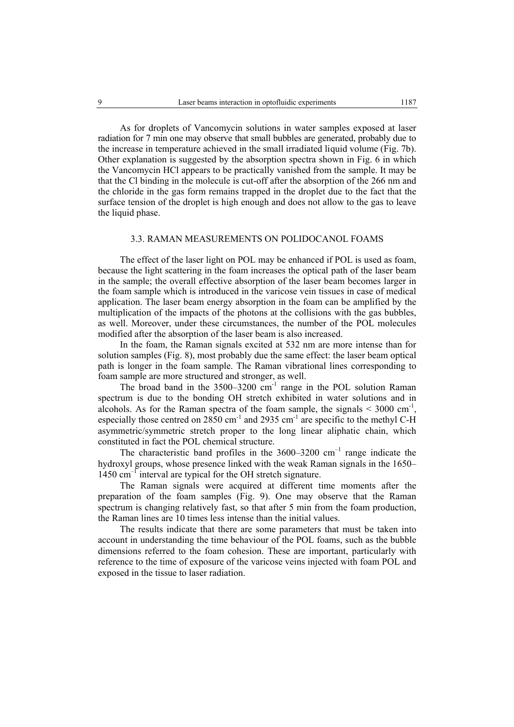As for droplets of Vancomycin solutions in water samples exposed at laser radiation for 7 min one may observe that small bubbles are generated, probably due to the increase in temperature achieved in the small irradiated liquid volume (Fig. 7b). Other explanation is suggested by the absorption spectra shown in Fig. 6 in which the Vancomycin HCl appears to be practically vanished from the sample. It may be that the Cl binding in the molecule is cut-off after the absorption of the 266 nm and the chloride in the gas form remains trapped in the droplet due to the fact that the surface tension of the droplet is high enough and does not allow to the gas to leave the liquid phase.

### 3.3. RAMAN MEASUREMENTS ON POLIDOCANOL FOAMS

The effect of the laser light on POL may be enhanced if POL is used as foam, because the light scattering in the foam increases the optical path of the laser beam in the sample; the overall effective absorption of the laser beam becomes larger in the foam sample which is introduced in the varicose vein tissues in case of medical application. The laser beam energy absorption in the foam can be amplified by the multiplication of the impacts of the photons at the collisions with the gas bubbles, as well. Moreover, under these circumstances, the number of the POL molecules modified after the absorption of the laser beam is also increased.

In the foam, the Raman signals excited at 532 nm are more intense than for solution samples (Fig. 8), most probably due the same effect: the laser beam optical path is longer in the foam sample. The Raman vibrational lines corresponding to foam sample are more structured and stronger, as well.

The broad band in the  $3500-3200$  cm<sup>-1</sup> range in the POL solution Raman spectrum is due to the bonding OH stretch exhibited in water solutions and in alcohols. As for the Raman spectra of the foam sample, the signals  $\leq 3000 \text{ cm}^{-1}$ , especially those centred on  $2850 \text{ cm}^{-1}$  and  $2935 \text{ cm}^{-1}$  are specific to the methyl C-H asymmetric/symmetric stretch proper to the long linear aliphatic chain, which constituted in fact the POL chemical structure.

The characteristic band profiles in the  $3600-3200$  cm<sup>-1</sup> range indicate the hydroxyl groups, whose presence linked with the weak Raman signals in the 1650–  $1450 \text{ cm}^{-1}$  interval are typical for the OH stretch signature.

The Raman signals were acquired at different time moments after the preparation of the foam samples (Fig. 9). One may observe that the Raman spectrum is changing relatively fast, so that after 5 min from the foam production, the Raman lines are 10 times less intense than the initial values.

The results indicate that there are some parameters that must be taken into account in understanding the time behaviour of the POL foams, such as the bubble dimensions referred to the foam cohesion. These are important, particularly with reference to the time of exposure of the varicose veins injected with foam POL and exposed in the tissue to laser radiation.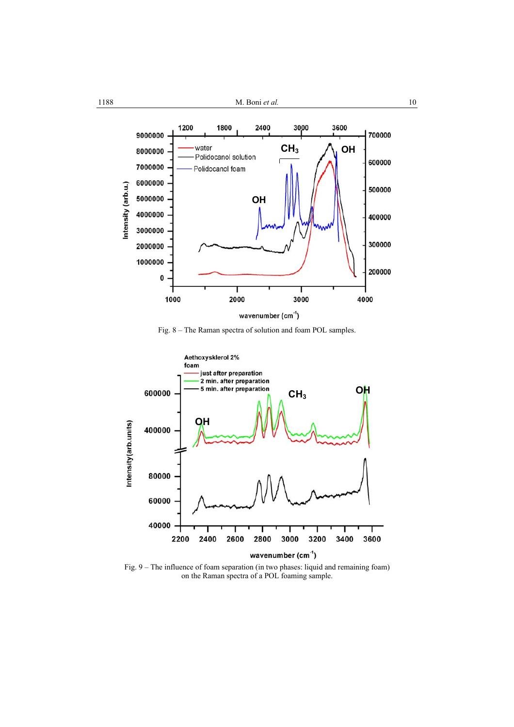





Fig. 9 – The influence of foam separation (in two phases: liquid and remaining foam) on the Raman spectra of a POL foaming sample.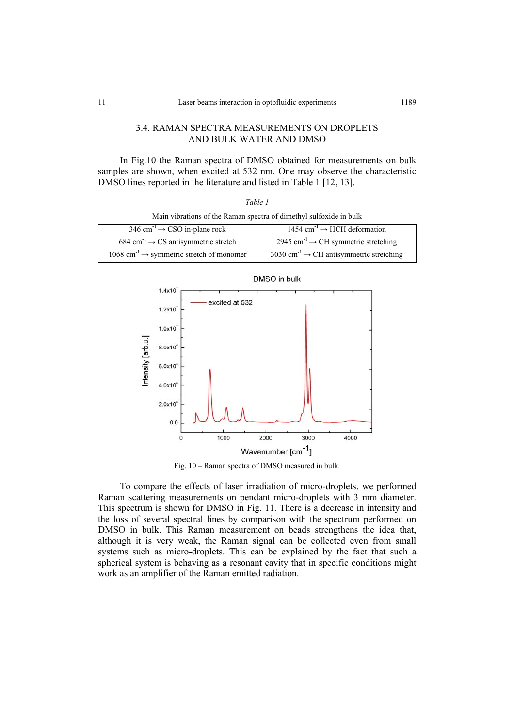# 3.4. RAMAN SPECTRA MEASUREMENTS ON DROPLETS AND BULK WATER AND DMSO

In Fig.10 the Raman spectra of DMSO obtained for measurements on bulk samples are shown, when excited at 532 nm. One may observe the characteristic DMSO lines reported in the literature and listed in Table 1 [12, 13].

|--|--|

Main vibrations of the Raman spectra of dimethyl sulfoxide in bulk

| 346 cm <sup>-1</sup> $\rightarrow$ CSO in-plane rock               | $1454 \text{ cm}^{-1} \rightarrow HCH$ deformation              |  |
|--------------------------------------------------------------------|-----------------------------------------------------------------|--|
| $684 \text{ cm}^3 \rightarrow \text{CS}$ antisymmetric stretch     | 2945 cm <sup>-1</sup> $\rightarrow$ CH symmetric stretching     |  |
| $1068$ cm <sup>-1</sup> $\rightarrow$ symmetric stretch of monomer | 3030 cm <sup>-1</sup> $\rightarrow$ CH antisymmetric stretching |  |



Fig. 10 – Raman spectra of DMSO measured in bulk.

To compare the effects of laser irradiation of micro-droplets, we performed Raman scattering measurements on pendant micro-droplets with 3 mm diameter. This spectrum is shown for DMSO in Fig. 11. There is a decrease in intensity and the loss of several spectral lines by comparison with the spectrum performed on DMSO in bulk. This Raman measurement on beads strengthens the idea that, although it is very weak, the Raman signal can be collected even from small systems such as micro-droplets. This can be explained by the fact that such a spherical system is behaving as a resonant cavity that in specific conditions might work as an amplifier of the Raman emitted radiation.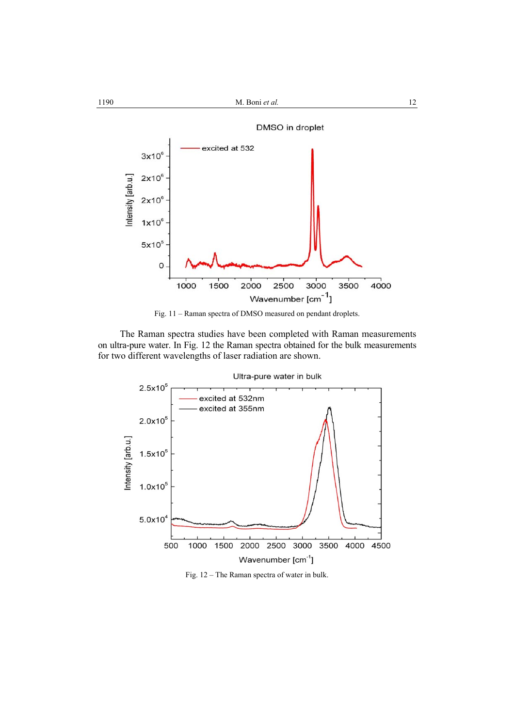



 The Raman spectra studies have been completed with Raman measurements on ultra-pure water. In Fig. 12 the Raman spectra obtained for the bulk measurements for two different wavelengths of laser radiation are shown.



Fig. 12 – The Raman spectra of water in bulk.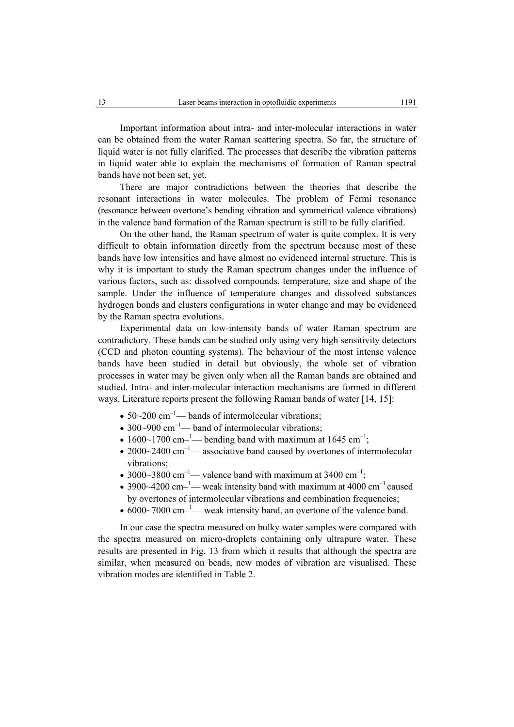Important information about intra- and inter-molecular interactions in water can be obtained from the water Raman scattering spectra. So far, the structure of liquid water is not fully clarified. The processes that describe the vibration patterns in liquid water able to explain the mechanisms of formation of Raman spectral bands have not been set, yet.

There are major contradictions between the theories that describe the resonant interactions in water molecules. The problem of Fermi resonance (resonance between overtone's bending vibration and symmetrical valence vibrations) in the valence band formation of the Raman spectrum is still to be fully clarified.

 On the other hand, the Raman spectrum of water is quite complex. It is very difficult to obtain information directly from the spectrum because most of these bands have low intensities and have almost no evidenced internal structure. This is why it is important to study the Raman spectrum changes under the influence of various factors, such as: dissolved compounds, temperature, size and shape of the sample. Under the influence of temperature changes and dissolved substances hydrogen bonds and clusters configurations in water change and may be evidenced by the Raman spectra evolutions.

 Experimental data on low-intensity bands of water Raman spectrum are contradictory. These bands can be studied only using very high sensitivity detectors (CCD and photon counting systems). The behaviour of the most intense valence bands have been studied in detail but obviously, the whole set of vibration processes in water may be given only when all the Raman bands are obtained and studied. Intra- and inter-molecular interaction mechanisms are formed in different ways. Literature reports present the following Raman bands of water [14, 15]:

- $50-200$  cm<sup>-1</sup> bands of intermolecular vibrations;
- 300~900  $cm^{-1}$  band of intermolecular vibrations;
- 1600~1700 cm-<sup>1</sup>— bending band with maximum at 1645 cm<sup>-1</sup>;
- 2000 $\sim$ 2400 cm<sup>-1</sup> associative band caused by overtones of intermolecular vibrations;
- 3000~3800 cm<sup>-1</sup>— valence band with maximum at 3400 cm<sup>-1</sup>;
- 3900~4200 cm $-$ <sup>1</sup> weak intensity band with maximum at 4000 cm<sup>-1</sup> caused by overtones of intermolecular vibrations and combination frequencies;
- $6000~7000$  cm-<sup>1</sup> weak intensity band, an overtone of the valence band.

 In our case the spectra measured on bulky water samples were compared with the spectra measured on micro-droplets containing only ultrapure water. These results are presented in Fig. 13 from which it results that although the spectra are similar, when measured on beads, new modes of vibration are visualised. These vibration modes are identified in Table 2.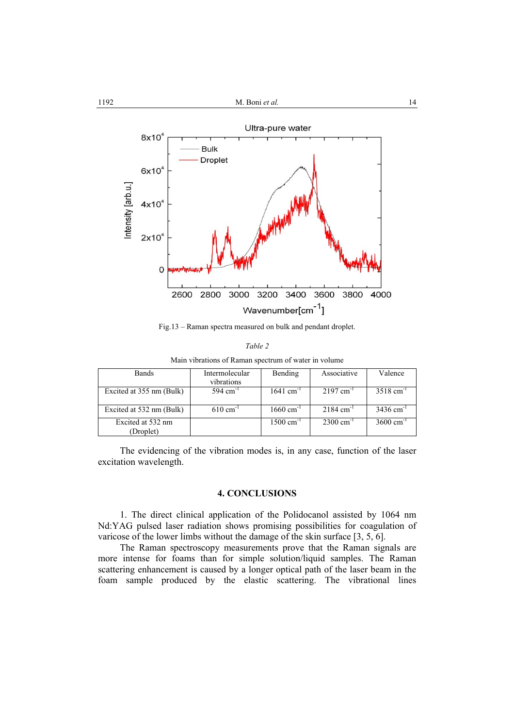

Fig.13 – Raman spectra measured on bulk and pendant droplet.

|--|

| Main vibrations of Raman spectrum of water in volume |  |  |
|------------------------------------------------------|--|--|
|                                                      |  |  |
|                                                      |  |  |

| <b>Bands</b>             | Intermolecular<br>vibrations | Bending                 | Associative            | Valence                 |
|--------------------------|------------------------------|-------------------------|------------------------|-------------------------|
| Excited at 355 nm (Bulk) | 594 cm <sup>-1</sup>         | $1641$ cm <sup>-1</sup> | $2197 \text{ cm}^{-1}$ | $3518 \text{ cm}^{-1}$  |
|                          |                              |                         |                        |                         |
| Excited at 532 nm (Bulk) | $610 \text{ cm}^{-1}$        | $1660 \text{ cm}^{-1}$  | $2184 \text{ cm}^{-1}$ | $3436$ cm <sup>-1</sup> |
| Excited at 532 nm        |                              | $1500 \text{ cm}^{-1}$  | $2300 \text{ cm}^{-1}$ | $3600 \text{ cm}^{-1}$  |
| (Droplet)                |                              |                         |                        |                         |

The evidencing of the vibration modes is, in any case, function of the laser excitation wavelength.

## **4. CONCLUSIONS**

1. The direct clinical application of the Polidocanol assisted by 1064 nm Nd:YAG pulsed laser radiation shows promising possibilities for coagulation of varicose of the lower limbs without the damage of the skin surface [3, 5, 6].

The Raman spectroscopy measurements prove that the Raman signals are more intense for foams than for simple solution/liquid samples. The Raman scattering enhancement is caused by a longer optical path of the laser beam in the foam sample produced by the elastic scattering. The vibrational lines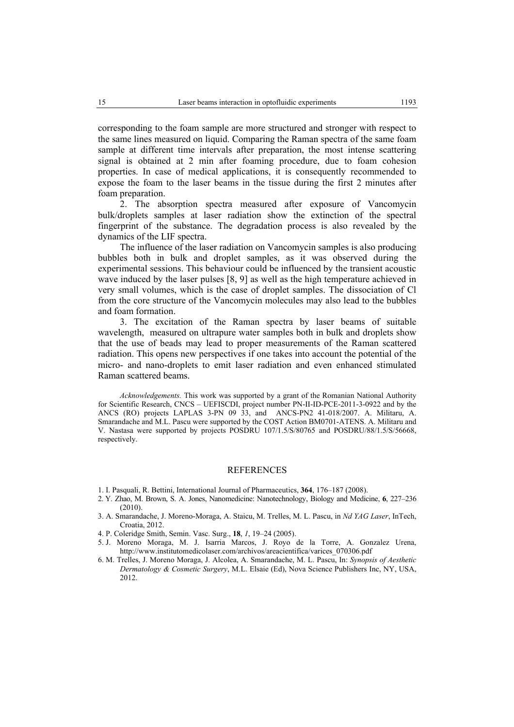corresponding to the foam sample are more structured and stronger with respect to the same lines measured on liquid. Comparing the Raman spectra of the same foam sample at different time intervals after preparation, the most intense scattering signal is obtained at 2 min after foaming procedure, due to foam cohesion properties. In case of medical applications, it is consequently recommended to expose the foam to the laser beams in the tissue during the first 2 minutes after foam preparation.

 2. The absorption spectra measured after exposure of Vancomycin bulk/droplets samples at laser radiation show the extinction of the spectral fingerprint of the substance. The degradation process is also revealed by the dynamics of the LIF spectra.

The influence of the laser radiation on Vancomycin samples is also producing bubbles both in bulk and droplet samples, as it was observed during the experimental sessions. This behaviour could be influenced by the transient acoustic wave induced by the laser pulses [8, 9] as well as the high temperature achieved in very small volumes, which is the case of droplet samples. The dissociation of Cl from the core structure of the Vancomycin molecules may also lead to the bubbles and foam formation.

3. The excitation of the Raman spectra by laser beams of suitable wavelength, measured on ultrapure water samples both in bulk and droplets show that the use of beads may lead to proper measurements of the Raman scattered radiation. This opens new perspectives if one takes into account the potential of the micro- and nano-droplets to emit laser radiation and even enhanced stimulated Raman scattered beams.

*Acknowledgements.* This work was supported by a grant of the Romanian National Authority for Scientific Research, CNCS – UEFISCDI, project number PN-II-ID-PCE-2011-3-0922 and by the ANCS (RO) projects LAPLAS 3-PN 09 33, and ANCS-PN2 41-018/2007. A. Militaru, A. Smarandache and M.L. Pascu were supported by the COST Action BM0701-ATENS. A. Militaru and V. Nastasa were supported by projects POSDRU 107/1.5/S/80765 and POSDRU/88/1.5/S/56668, respectively.

#### **REFERENCES**

- 1. I. Pasquali, R. Bettini, International Journal of Pharmaceutics, **364**, 176–187 (2008).
- 2. Y. Zhao, M. Brown, S. A. Jones, Nanomedicine: Nanotechnology, Biology and Medicine, **6**, 227–236  $(2010)$
- 3. A. Smarandache, J. Moreno-Moraga, A. Staicu, M. Trelles, M. L. Pascu, in *Nd YAG Laser*, InTech, Croatia, 2012.
- 4. P. Coleridge Smith, Semin. Vasc. Surg., **18**, *1*, 19–24 (2005).
- 5. J. Moreno Moraga, M. J. Isarria Marcos, J. Royo de la Torre, A. Gonzalez Urena, http://www.institutomedicolaser.com/archivos/areacientifica/varices\_070306.pdf
- 6. M. Trelles, J. Moreno Moraga, J. Alcolea, A. Smarandache, M. L. Pascu, In: *Synopsis of Aesthetic Dermatology & Cosmetic Surgery*, M.L. Elsaie (Ed), Nova Science Publishers Inc, NY, USA, 2012.